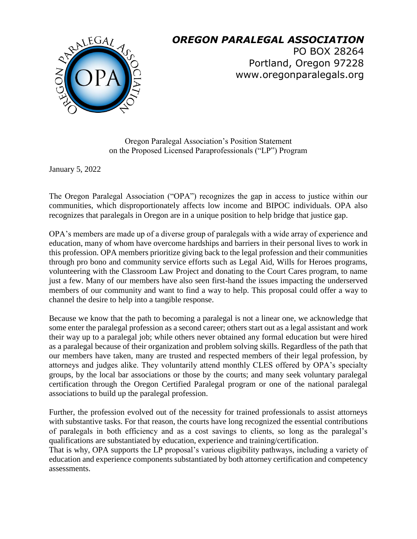

## *OREGON PARALEGAL ASSOCIATION*

PO BOX 28264 Portland, Oregon 97228 www.oregonparalegals.org

Oregon Paralegal Association's Position Statement on the Proposed Licensed Paraprofessionals ("LP") Program

January 5, 2022

The Oregon Paralegal Association ("OPA") recognizes the gap in access to justice within our communities, which disproportionately affects low income and BIPOC individuals. OPA also recognizes that paralegals in Oregon are in a unique position to help bridge that justice gap.

OPA's members are made up of a diverse group of paralegals with a wide array of experience and education, many of whom have overcome hardships and barriers in their personal lives to work in this profession. OPA members prioritize giving back to the legal profession and their communities through pro bono and community service efforts such as Legal Aid, Wills for Heroes programs, volunteering with the Classroom Law Project and donating to the Court Cares program, to name just a few. Many of our members have also seen first-hand the issues impacting the underserved members of our community and want to find a way to help. This proposal could offer a way to channel the desire to help into a tangible response.

Because we know that the path to becoming a paralegal is not a linear one, we acknowledge that some enter the paralegal profession as a second career; others start out as a legal assistant and work their way up to a paralegal job; while others never obtained any formal education but were hired as a paralegal because of their organization and problem solving skills. Regardless of the path that our members have taken, many are trusted and respected members of their legal profession, by attorneys and judges alike. They voluntarily attend monthly CLES offered by OPA's specialty groups, by the local bar associations or those by the courts; and many seek voluntary paralegal certification through the Oregon Certified Paralegal program or one of the national paralegal associations to build up the paralegal profession.

Further, the profession evolved out of the necessity for trained professionals to assist attorneys with substantive tasks. For that reason, the courts have long recognized the essential contributions of paralegals in both efficiency and as a cost savings to clients, so long as the paralegal's qualifications are substantiated by education, experience and training/certification.

That is why, OPA supports the LP proposal's various eligibility pathways, including a variety of education and experience components substantiated by both attorney certification and competency assessments.